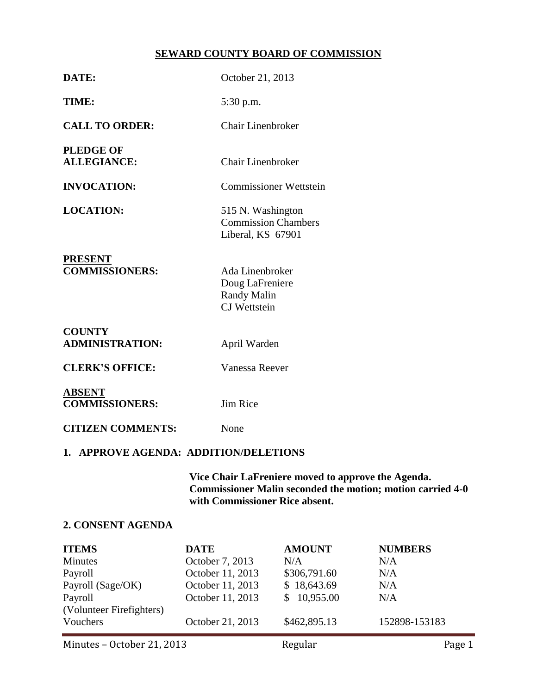# **SEWARD COUNTY BOARD OF COMMISSION**

| DATE:                                   | October 21, 2013                                                         |  |  |  |
|-----------------------------------------|--------------------------------------------------------------------------|--|--|--|
| TIME:                                   | 5:30 p.m.                                                                |  |  |  |
| <b>CALL TO ORDER:</b>                   | <b>Chair Linenbroker</b>                                                 |  |  |  |
| <b>PLEDGE OF</b><br><b>ALLEGIANCE:</b>  | Chair Linenbroker                                                        |  |  |  |
| <b>INVOCATION:</b>                      | <b>Commissioner Wettstein</b>                                            |  |  |  |
| <b>LOCATION:</b>                        | 515 N. Washington<br><b>Commission Chambers</b><br>Liberal, KS 67901     |  |  |  |
| <b>PRESENT</b><br><b>COMMISSIONERS:</b> | Ada Linenbroker<br>Doug LaFreniere<br><b>Randy Malin</b><br>CJ Wettstein |  |  |  |
| <b>COUNTY</b><br><b>ADMINISTRATION:</b> | April Warden                                                             |  |  |  |
| <b>CLERK'S OFFICE:</b>                  | Vanessa Reever                                                           |  |  |  |
| <b>ABSENT</b><br><b>COMMISSIONERS:</b>  | Jim Rice                                                                 |  |  |  |
| <b>CITIZEN COMMENTS:</b>                | None                                                                     |  |  |  |
| 1. APPROVE AGENDA: ADDITION/DELETIONS   |                                                                          |  |  |  |

**Vice Chair LaFreniere moved to approve the Agenda. Commissioner Malin seconded the motion; motion carried 4-0 with Commissioner Rice absent.**

# **2. CONSENT AGENDA**

| <b>ITEMS</b>             | <b>DATE</b>      | <b>AMOUNT</b> | <b>NUMBERS</b> |
|--------------------------|------------------|---------------|----------------|
| <b>Minutes</b>           | October 7, 2013  | N/A           | N/A            |
| Payroll                  | October 11, 2013 | \$306,791.60  | N/A            |
| Payroll (Sage/OK)        | October 11, 2013 | \$18,643.69   | N/A            |
| Payroll                  | October 11, 2013 | \$10,955.00   | N/A            |
| (Volunteer Firefighters) |                  |               |                |
| Vouchers                 | October 21, 2013 | \$462,895.13  | 152898-153183  |
|                          |                  |               |                |

Minutes – October 21, 2013 **Regular** Regular Page 1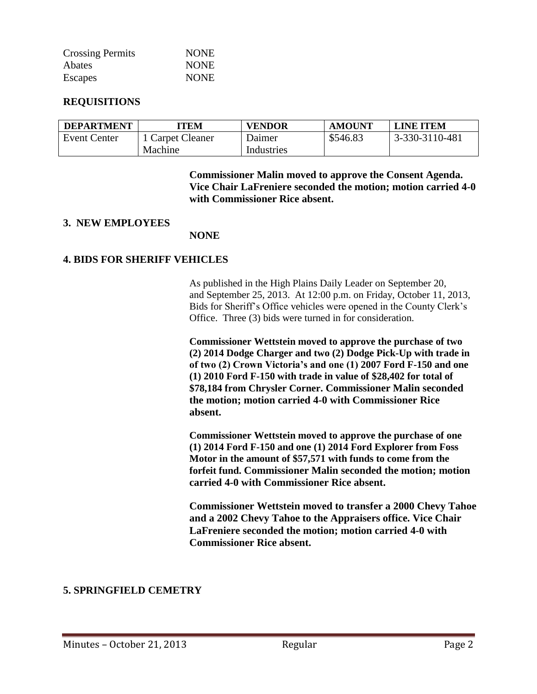| <b>Crossing Permits</b> | <b>NONE</b> |
|-------------------------|-------------|
| <b>Abates</b>           | <b>NONE</b> |
| Escapes                 | <b>NONE</b> |

## **REQUISITIONS**

| <b>DEPARTMENT</b>   | TEM            | <b>VENDOR</b> | <b>AMOUNT</b> | <b>LINE ITEM</b> |
|---------------------|----------------|---------------|---------------|------------------|
| <b>Event Center</b> | Carpet Cleaner | Daimer        | \$546.83      | 3-330-3110-481   |
|                     | Machine        | Industries    |               |                  |

**Commissioner Malin moved to approve the Consent Agenda. Vice Chair LaFreniere seconded the motion; motion carried 4-0 with Commissioner Rice absent.**

#### **3. NEW EMPLOYEES**

#### **NONE**

## **4. BIDS FOR SHERIFF VEHICLES**

As published in the High Plains Daily Leader on September 20, and September 25, 2013. At 12:00 p.m. on Friday, October 11, 2013, Bids for Sheriff's Office vehicles were opened in the County Clerk's Office. Three (3) bids were turned in for consideration.

**Commissioner Wettstein moved to approve the purchase of two (2) 2014 Dodge Charger and two (2) Dodge Pick-Up with trade in of two (2) Crown Victoria's and one (1) 2007 Ford F-150 and one (1) 2010 Ford F-150 with trade in value of \$28,402 for total of \$78,184 from Chrysler Corner. Commissioner Malin seconded the motion; motion carried 4-0 with Commissioner Rice absent.**

**Commissioner Wettstein moved to approve the purchase of one (1) 2014 Ford F-150 and one (1) 2014 Ford Explorer from Foss Motor in the amount of \$57,571 with funds to come from the forfeit fund. Commissioner Malin seconded the motion; motion carried 4-0 with Commissioner Rice absent.**

**Commissioner Wettstein moved to transfer a 2000 Chevy Tahoe and a 2002 Chevy Tahoe to the Appraisers office. Vice Chair LaFreniere seconded the motion; motion carried 4-0 with Commissioner Rice absent.**

## **5. SPRINGFIELD CEMETRY**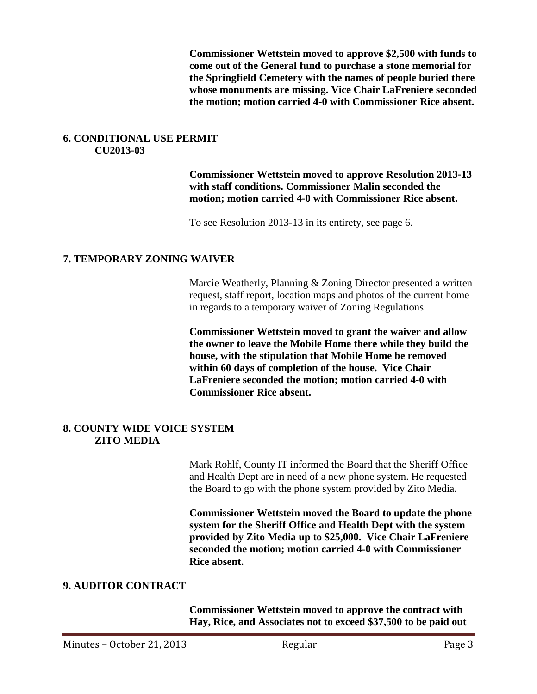**Commissioner Wettstein moved to approve \$2,500 with funds to come out of the General fund to purchase a stone memorial for the Springfield Cemetery with the names of people buried there whose monuments are missing. Vice Chair LaFreniere seconded the motion; motion carried 4-0 with Commissioner Rice absent.**

## **6. CONDITIONAL USE PERMIT CU2013-03**

**Commissioner Wettstein moved to approve Resolution 2013-13 with staff conditions. Commissioner Malin seconded the motion; motion carried 4-0 with Commissioner Rice absent.**

To see Resolution 2013-13 in its entirety, see page 6.

## **7. TEMPORARY ZONING WAIVER**

Marcie Weatherly, Planning & Zoning Director presented a written request, staff report, location maps and photos of the current home in regards to a temporary waiver of Zoning Regulations.

**Commissioner Wettstein moved to grant the waiver and allow the owner to leave the Mobile Home there while they build the house, with the stipulation that Mobile Home be removed within 60 days of completion of the house. Vice Chair LaFreniere seconded the motion; motion carried 4-0 with Commissioner Rice absent.**

## **8. COUNTY WIDE VOICE SYSTEM ZITO MEDIA**

Mark Rohlf, County IT informed the Board that the Sheriff Office and Health Dept are in need of a new phone system. He requested the Board to go with the phone system provided by Zito Media.

**Commissioner Wettstein moved the Board to update the phone system for the Sheriff Office and Health Dept with the system provided by Zito Media up to \$25,000. Vice Chair LaFreniere seconded the motion; motion carried 4-0 with Commissioner Rice absent.**

# **9. AUDITOR CONTRACT**

**Commissioner Wettstein moved to approve the contract with Hay, Rice, and Associates not to exceed \$37,500 to be paid out**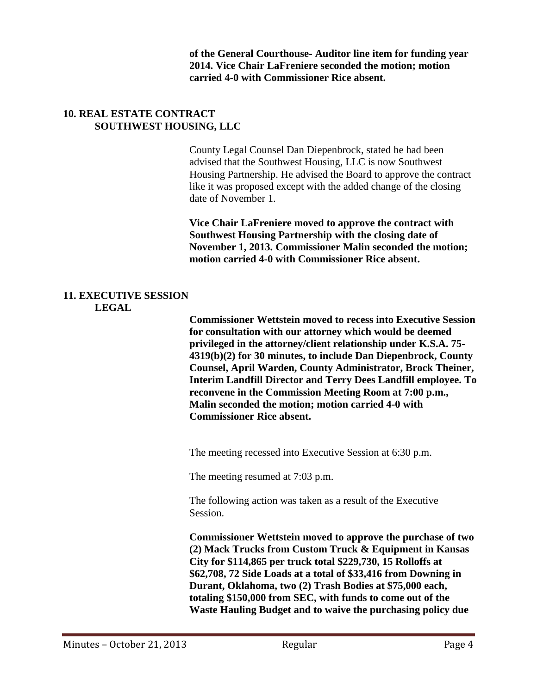**of the General Courthouse- Auditor line item for funding year 2014. Vice Chair LaFreniere seconded the motion; motion carried 4-0 with Commissioner Rice absent.**

## **10. REAL ESTATE CONTRACT SOUTHWEST HOUSING, LLC**

County Legal Counsel Dan Diepenbrock, stated he had been advised that the Southwest Housing, LLC is now Southwest Housing Partnership. He advised the Board to approve the contract like it was proposed except with the added change of the closing date of November 1.

**Vice Chair LaFreniere moved to approve the contract with Southwest Housing Partnership with the closing date of November 1, 2013. Commissioner Malin seconded the motion; motion carried 4-0 with Commissioner Rice absent.**

## **11. EXECUTIVE SESSION LEGAL**

**Commissioner Wettstein moved to recess into Executive Session for consultation with our attorney which would be deemed privileged in the attorney/client relationship under K.S.A. 75- 4319(b)(2) for 30 minutes, to include Dan Diepenbrock, County Counsel, April Warden, County Administrator, Brock Theiner, Interim Landfill Director and Terry Dees Landfill employee. To reconvene in the Commission Meeting Room at 7:00 p.m., Malin seconded the motion; motion carried 4-0 with Commissioner Rice absent.**

The meeting recessed into Executive Session at 6:30 p.m.

The meeting resumed at 7:03 p.m.

The following action was taken as a result of the Executive Session.

**Commissioner Wettstein moved to approve the purchase of two (2) Mack Trucks from Custom Truck & Equipment in Kansas City for \$114,865 per truck total \$229,730, 15 Rolloffs at \$62,708, 72 Side Loads at a total of \$33,416 from Downing in Durant, Oklahoma, two (2) Trash Bodies at \$75,000 each, totaling \$150,000 from SEC, with funds to come out of the Waste Hauling Budget and to waive the purchasing policy due**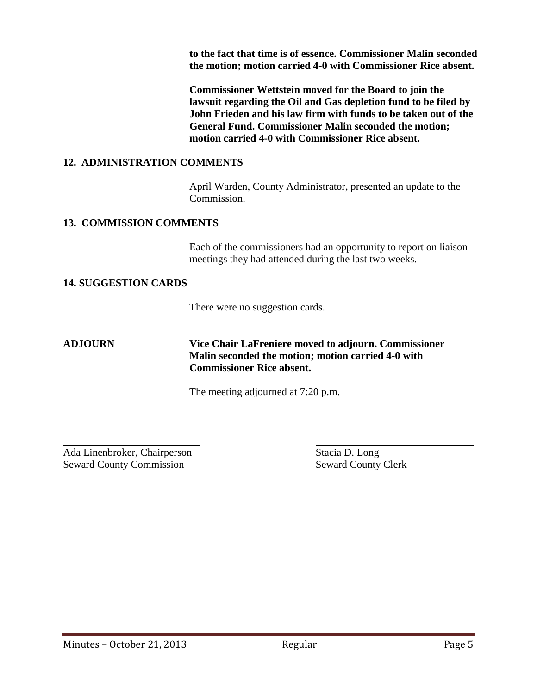**to the fact that time is of essence. Commissioner Malin seconded the motion; motion carried 4-0 with Commissioner Rice absent.**

**Commissioner Wettstein moved for the Board to join the lawsuit regarding the Oil and Gas depletion fund to be filed by John Frieden and his law firm with funds to be taken out of the General Fund. Commissioner Malin seconded the motion; motion carried 4-0 with Commissioner Rice absent.**

# **12. ADMINISTRATION COMMENTS**

April Warden, County Administrator, presented an update to the Commission.

## **13. COMMISSION COMMENTS**

Each of the commissioners had an opportunity to report on liaison meetings they had attended during the last two weeks.

## **14. SUGGESTION CARDS**

There were no suggestion cards.

l

# **ADJOURN Vice Chair LaFreniere moved to adjourn. Commissioner Malin seconded the motion; motion carried 4-0 with Commissioner Rice absent.**

The meeting adjourned at 7:20 p.m.

Ada Linenbroker, Chairperson Stacia D. Long Seward County Commission Seward County Clerk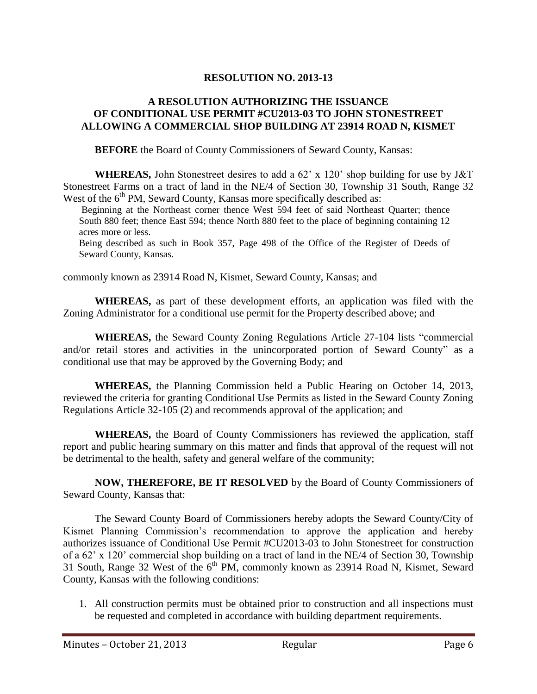# **RESOLUTION NO. 2013-13**

## **A RESOLUTION AUTHORIZING THE ISSUANCE OF CONDITIONAL USE PERMIT #CU2013-03 TO JOHN STONESTREET ALLOWING A COMMERCIAL SHOP BUILDING AT 23914 ROAD N, KISMET**

**BEFORE** the Board of County Commissioners of Seward County, Kansas:

**WHEREAS,** John Stonestreet desires to add a 62' x 120' shop building for use by J&T Stonestreet Farms on a tract of land in the NE/4 of Section 30, Township 31 South, Range 32 West of the  $6<sup>th</sup> PM$ , Seward County, Kansas more specifically described as:

Beginning at the Northeast corner thence West 594 feet of said Northeast Quarter; thence South 880 feet; thence East 594; thence North 880 feet to the place of beginning containing 12 acres more or less.

Being described as such in Book 357, Page 498 of the Office of the Register of Deeds of Seward County, Kansas.

commonly known as 23914 Road N, Kismet, Seward County, Kansas; and

**WHEREAS,** as part of these development efforts, an application was filed with the Zoning Administrator for a conditional use permit for the Property described above; and

**WHEREAS,** the Seward County Zoning Regulations Article 27-104 lists "commercial and/or retail stores and activities in the unincorporated portion of Seward County" as a conditional use that may be approved by the Governing Body; and

**WHEREAS,** the Planning Commission held a Public Hearing on October 14, 2013, reviewed the criteria for granting Conditional Use Permits as listed in the Seward County Zoning Regulations Article 32-105 (2) and recommends approval of the application; and

**WHEREAS,** the Board of County Commissioners has reviewed the application, staff report and public hearing summary on this matter and finds that approval of the request will not be detrimental to the health, safety and general welfare of the community;

**NOW, THEREFORE, BE IT RESOLVED** by the Board of County Commissioners of Seward County, Kansas that:

The Seward County Board of Commissioners hereby adopts the Seward County/City of Kismet Planning Commission's recommendation to approve the application and hereby authorizes issuance of Conditional Use Permit #CU2013-03 to John Stonestreet for construction of a 62' x 120' commercial shop building on a tract of land in the NE/4 of Section 30, Township 31 South, Range 32 West of the  $6<sup>th</sup> PM$ , commonly known as 23914 Road N, Kismet, Seward County, Kansas with the following conditions:

1. All construction permits must be obtained prior to construction and all inspections must be requested and completed in accordance with building department requirements.